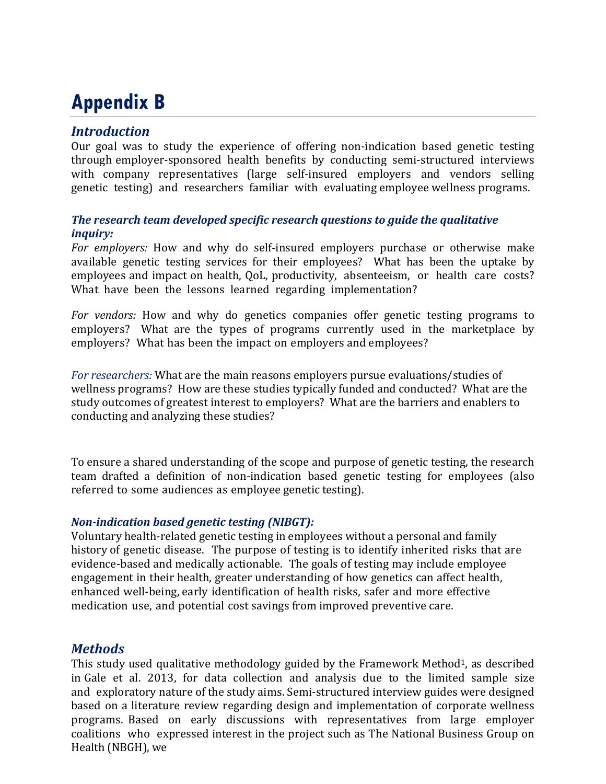# **Appendix B**

## *Introduction*

Our goal was to study the experience of offering non-indication based genetic testing through employer-sponsored health benefits by conducting semi-structured interviews with company representatives (large self-insured employers and vendors selling genetic testing) and researchers familiar with evaluating employee wellness programs.

#### *The research team developed specific research questions to guide the qualitative inquiry:*

*For employers:* How and why do self-insured employers purchase or otherwise make available genetic testing services for their employees? What has been the uptake by employees and impact on health, QoL, productivity, absenteeism, or health care costs? What have been the lessons learned regarding implementation?

*For vendors:* How and why do genetics companies offer genetic testing programs to employers? What are the types of programs currently used in the marketplace by employers? What has been the impact on employers and employees?

*For researchers:* What are the main reasons employers pursue evaluations/studies of wellness programs? How are these studies typically funded and conducted? What are the study outcomes of greatest interest to employers? What are the barriers and enablers to conducting and analyzing these studies?

To ensure a shared understanding of the scope and purpose of genetic testing, the research team drafted a definition of non-indication based genetic testing for employees (also referred to some audiences as employee genetic testing).

#### *Non-indication based genetic testing (NIBGT):*

Voluntary health-related genetic testing in employees without a personal and family history of genetic disease. The purpose of testing is to identify inherited risks that are evidence-based and medically actionable. The goals of testing may include employee engagement in their health, greater understanding of how genetics can affect health, enhanced well-being, early identification of health risks, safer and more effective medication use, and potential cost savings from improved preventive care.

## *Methods*

This study used qualitative methodology guided by the Framework Method<sup>1</sup>, as described in Gale et al. 2013, for data collection and analysis due to the limited sample size and exploratory nature of the study aims. Semi-structured interview guides were designed based on a literature review regarding design and implementation of corporate wellness programs. Based on early discussions with representatives from large employer coalitions who expressed interest in the project such as The National Business Group on Health (NBGH), we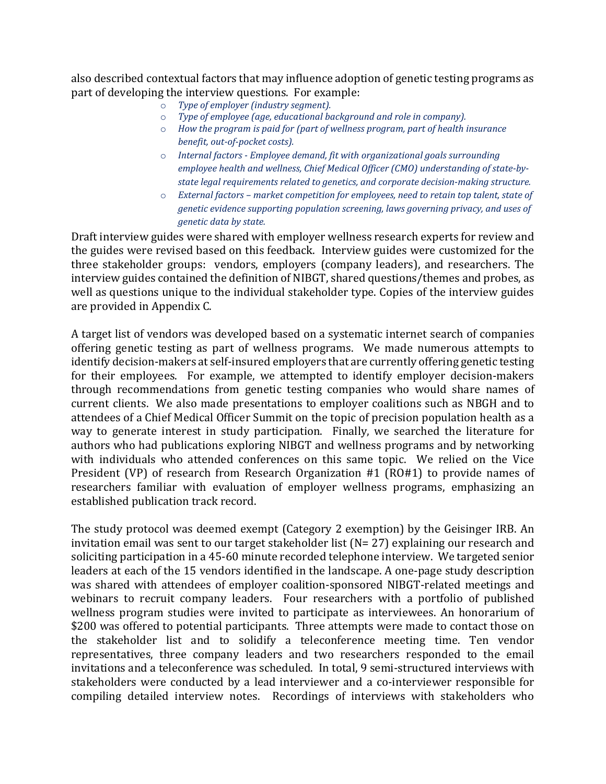also described contextual factors that may influence adoption of genetic testing programs as part of developing the interview questions. For example:<br> $\circ$  Type of employer (industry seament).

- Type of employer (industry segment).
- o *Type of employee (age, educational background and role in company).*
- How the program is paid for (part of wellness program, part of health insurance *benefit, out-of-pocket costs).*
- Internal factors Employee demand, fit with organizational goals surrounding *employee health and wellness, Chief Medical Officer (CMO) understanding of state-bystate legal requirements related to genetics, and corporate decision-making structure.*
- o *External factors market competition for employees, need to retain top talent, state of genetic evidence supporting population screening, laws governing privacy, and uses of genetic data by state.*

Draft interview guides were shared with employer wellness research experts for review and the guides were revised based on this feedback. Interview guides were customized for the three stakeholder groups: vendors, employers (company leaders), and researchers. The interview guides contained the definition of NIBGT, shared questions/themes and probes, as well as questions unique to the individual stakeholder type. Copies of the interview guides are provided in Appendix C.

A target list of vendors was developed based on a systematic internet search of companies offering genetic testing as part of wellness programs. We made numerous attempts to identify decision-makers at self-insured employers that are currently offering genetic testing for their employees. For example, we attempted to identify employer decision-makers through recommendations from genetic testing companies who would share names of current clients. We also made presentations to employer coalitions such as NBGH and to attendees of a Chief Medical Officer Summit on the topic of precision population health as a way to generate interest in study participation. Finally, we searched the literature for authors who had publications exploring NIBGT and wellness programs and by networking with individuals who attended conferences on this same topic. We relied on the Vice President (VP) of research from Research Organization #1 (RO#1) to provide names of researchers familiar with evaluation of employer wellness programs, emphasizing an established publication track record.

The study protocol was deemed exempt (Category 2 exemption) by the Geisinger IRB. An invitation email was sent to our target stakeholder list (N= 27) explaining our research and soliciting participation in a 45-60 minute recorded telephone interview. We targeted senior leaders at each of the 15 vendors identified in the landscape. A one-page study description was shared with attendees of employer coalition-sponsored NIBGT-related meetings and webinars to recruit company leaders. Four researchers with a portfolio of published wellness program studies were invited to participate as interviewees. An honorarium of \$200 was offered to potential participants. Three attempts were made to contact those on the stakeholder list and to solidify a teleconference meeting time. Ten vendor representatives, three company leaders and two researchers responded to the email invitations and a teleconference was scheduled. In total, 9 semi-structured interviews with stakeholders were conducted by a lead interviewer and a co-interviewer responsible for compiling detailed interview notes. Recordings of interviews with stakeholders who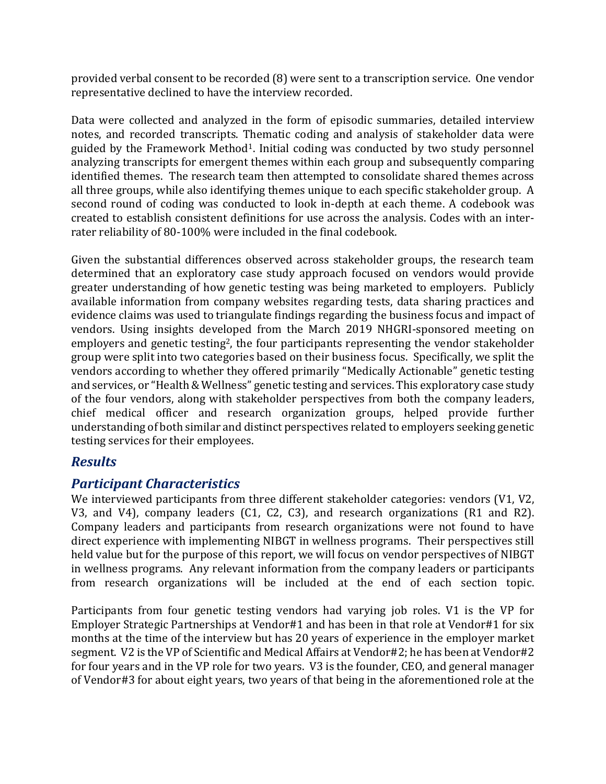provided verbal consent to be recorded (8) were sent to a transcription service. One vendor representative declined to have the interview recorded.

Data were collected and analyzed in the form of episodic summaries, detailed interview notes, and recorded transcripts. Thematic coding and analysis of stakeholder data were guided by the Framework Method1. Initial coding was conducted by two study personnel analyzing transcripts for emergent themes within each group and subsequently comparing identified themes. The research team then attempted to consolidate shared themes across all three groups, while also identifying themes unique to each specific stakeholder group. A second round of coding was conducted to look in-depth at each theme. A codebook was created to establish consistent definitions for use across the analysis. Codes with an interrater reliability of 80-100% were included in the final codebook.

Given the substantial differences observed across stakeholder groups, the research team determined that an exploratory case study approach focused on vendors would provide greater understanding of how genetic testing was being marketed to employers. Publicly available information from company websites regarding tests, data sharing practices and evidence claims was used to triangulate findings regarding the business focus and impact of vendors. Using insights developed from the March 2019 NHGRI-sponsored meeting on employers and genetic testing<sup>2</sup>, the four participants representing the vendor stakeholder group were split into two categories based on their business focus. Specifically, we split the vendors according to whether they offered primarily "Medically Actionable" genetic testing and services, or "Health & Wellness" genetic testing and services. This exploratory case study of the four vendors, along with stakeholder perspectives from both the company leaders, chief medical officer and research organization groups, helped provide further understanding of both similar and distinct perspectives related to employers seeking genetic testing services for their employees.

## *Results*

## *Participant Characteristics*

We interviewed participants from three different stakeholder categories: vendors (V1, V2, V3, and V4), company leaders (C1, C2, C3), and research organizations (R1 and R2). Company leaders and participants from research organizations were not found to have direct experience with implementing NIBGT in wellness programs. Their perspectives still held value but for the purpose of this report, we will focus on vendor perspectives of NIBGT in wellness programs. Any relevant information from the company leaders or participants from research organizations will be included at the end of each section topic.

Participants from four genetic testing vendors had varying job roles. V1 is the VP for Employer Strategic Partnerships at Vendor#1 and has been in that role at Vendor#1 for six months at the time of the interview but has 20 years of experience in the employer market segment. V2 is the VP of Scientific and Medical Affairs at Vendor#2; he has been at Vendor#2 for four years and in the VP role for two years. V3 is the founder, CEO, and general manager of Vendor#3 for about eight years, two years of that being in the aforementioned role at the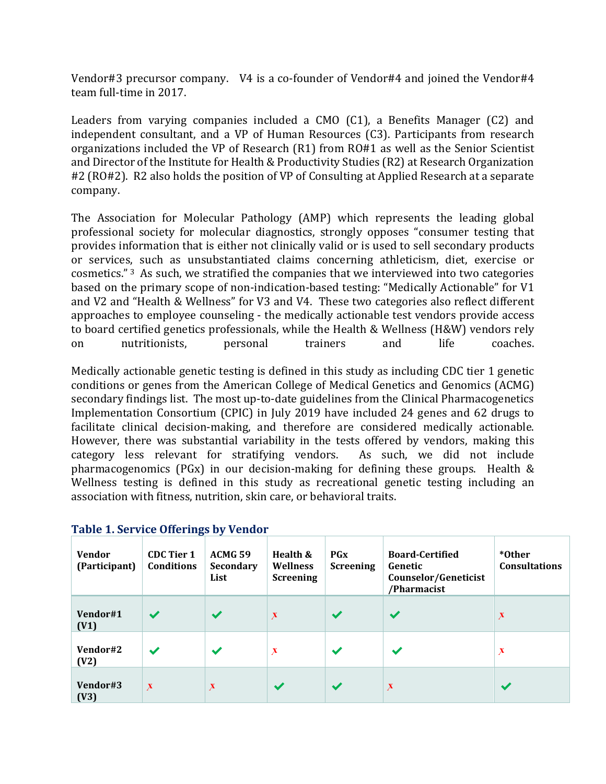Vendor#3 precursor company. V4 is a co-founder of Vendor#4 and joined the Vendor#4 team full-time in 2017.

Leaders from varying companies included a CMO (C1), a Benefits Manager (C2) and independent consultant, and a VP of Human Resources (C3). Participants from research organizations included the VP of Research (R1) from RO#1 as well as the Senior Scientist and Director of the Institute for Health & Productivity Studies (R2) at Research Organization #2 (RO#2). R2 also holds the position of VP of Consulting at Applied Research at a separate company.

The Association for Molecular Pathology (AMP) which represents the leading global professional society for molecular diagnostics, strongly opposes "consumer testing that provides information that is either not clinically valid or is used to sell secondary products or services, such as unsubstantiated claims concerning athleticism, diet, exercise or cosmetics." 3 As such, we stratified the companies that we interviewed into two categories based on the primary scope of non-indication-based testing: "Medically Actionable" for V1 and V2 and "Health & Wellness" for V3 and V4. These two categories also reflect different approaches to employee counseling - the medically actionable test vendors provide access to board certified genetics professionals, while the Health & Wellness (H&W) vendors rely<br>on mutritionists, personal trainers and life coaches. on nutritionists, personal trainers and life coaches.

Medically actionable genetic testing is defined in this study as including CDC tier 1 genetic conditions or genes from the American College of Medical Genetics and Genomics (ACMG) secondary findings list. The most up-to-date guidelines from the Clinical Pharmacogenetics Implementation Consortium (CPIC) in July 2019 have included 24 genes and 62 drugs to facilitate clinical decision-making, and therefore are considered medically actionable. However, there was substantial variability in the tests offered by vendors, making this category less relevant for stratifying vendors. As such, we did not include category less relevant for stratifying vendors. pharmacogenomics (PGx) in our decision-making for defining these groups. Health & Wellness testing is defined in this study as recreational genetic testing including an association with fitness, nutrition, skin care, or behavioral traits.

| <b>Vendor</b><br>(Participant) | <b>CDC</b> Tier 1<br>Conditions | ACMG 59<br><b>Secondary</b><br>List | Health &<br>Wellness<br><b>Screening</b> | $P$ Gx<br><b>Screening</b> | <b>Board-Certified</b><br>Genetic<br>Counselor/Geneticist<br>/Pharmacist | *Other<br><b>Consultations</b> |
|--------------------------------|---------------------------------|-------------------------------------|------------------------------------------|----------------------------|--------------------------------------------------------------------------|--------------------------------|
| Vendor#1<br>(V1)               | $\overline{\mathcal{L}}$        | $\checkmark$                        | $\boldsymbol{\mathsf{x}}$                | $\checkmark$               | $\checkmark$                                                             | X                              |
| Vendor#2<br>(V2)               | $\blacktriangleright$           | $\checkmark$                        | X                                        | $\checkmark$               | $\checkmark$                                                             | $\boldsymbol{\mathsf{x}}$      |
| Vendor#3<br>(V3)               | $\boldsymbol{\mathsf{x}}$       | $\boldsymbol{\mathsf{X}}$           | $\overline{\mathbf{v}}$                  | $\checkmark$               | $\boldsymbol{\mathsf{X}}$                                                |                                |

#### **Table 1. Service Offerings by Vendor**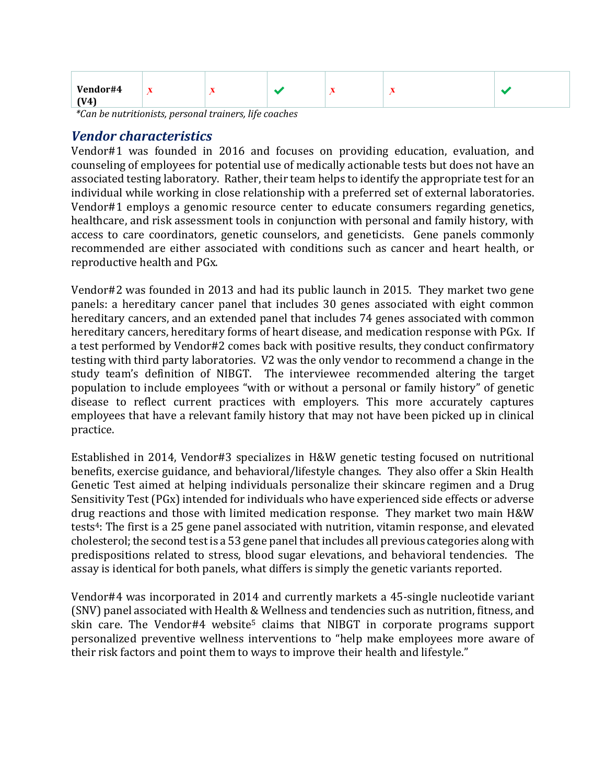| Vendor#4 | $\mathbf{r}$ | $\overline{\phantom{a}}$ | $\overline{\phantom{a}}$ | $\overline{\phantom{a}}$ |  |
|----------|--------------|--------------------------|--------------------------|--------------------------|--|
| (V4)     |              |                          |                          |                          |  |

*\*Can be nutritionists, personal trainers, life coaches*

#### *Vendor characteristics*

Vendor#1 was founded in 2016 and focuses on providing education, evaluation, and counseling of employees for potential use of medically actionable tests but does not have an associated testing laboratory. Rather, their team helps to identify the appropriate test for an individual while working in close relationship with a preferred set of external laboratories. Vendor#1 employs a genomic resource center to educate consumers regarding genetics, healthcare, and risk assessment tools in conjunction with personal and family history, with access to care coordinators, genetic counselors, and geneticists. Gene panels commonly recommended are either associated with conditions such as cancer and heart health, or reproductive health and PGx.

Vendor#2 was founded in 2013 and had its public launch in 2015. They market two gene panels: a hereditary cancer panel that includes 30 genes associated with eight common hereditary cancers, and an extended panel that includes 74 genes associated with common hereditary cancers, hereditary forms of heart disease, and medication response with PGx. If a test performed by Vendor#2 comes back with positive results, they conduct confirmatory testing with third party laboratories. V2 was the only vendor to recommend a change in the study team's definition of NIBGT. The interviewee recommended altering the target population to include employees "with or without a personal or family history" of genetic disease to reflect current practices with employers. This more accurately captures employees that have a relevant family history that may not have been picked up in clinical practice.

Established in 2014, Vendor#3 specializes in H&W genetic testing focused on nutritional benefits, exercise guidance, and behavioral/lifestyle changes. They also offer a Skin Health Genetic Test aimed at helping individuals personalize their skincare regimen and a Drug Sensitivity Test (PGx) intended for individuals who have experienced side effects or adverse drug reactions and those with limited medication response. They market two main H&W tests4: The first is a 25 gene panel associated with nutrition, vitamin response, and elevated cholesterol; the second test is a 53 gene panel that includes all previous categories along with predispositions related to stress, blood sugar elevations, and behavioral tendencies. The assay is identical for both panels, what differs is simply the genetic variants reported.

Vendor#4 was incorporated in 2014 and currently markets a 45-single nucleotide variant (SNV) panel associated with Health & Wellness and tendencies such as nutrition, fitness, and skin care. The Vendor#4 website<sup>5</sup> claims that NIBGT in corporate programs support personalized preventive wellness interventions to "help make employees more aware of their risk factors and point them to ways to improve their health and lifestyle."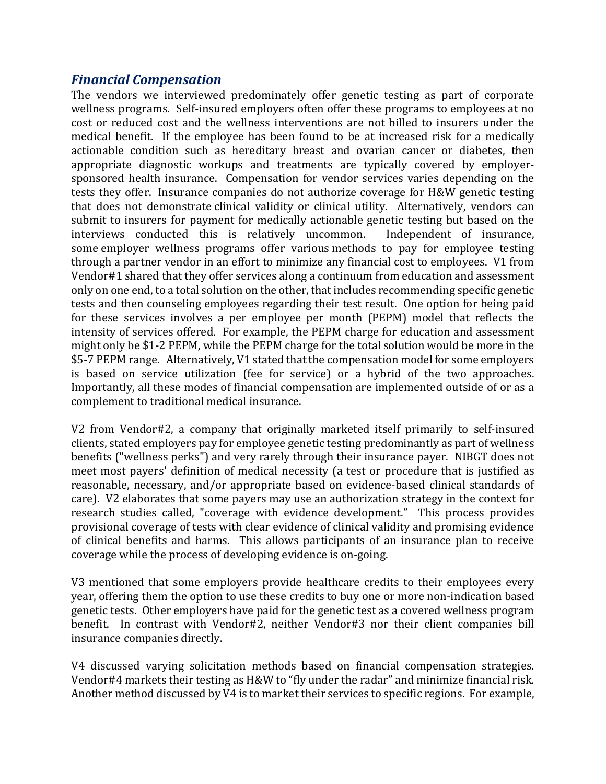## *Financial Compensation*

The vendors we interviewed predominately offer genetic testing as part of corporate wellness programs. Self-insured employers often offer these programs to employees at no cost or reduced cost and the wellness interventions are not billed to insurers under the medical benefit. If the employee has been found to be at increased risk for a medically actionable condition such as hereditary breast and ovarian cancer or diabetes, then appropriate diagnostic workups and treatments are typically covered by employersponsored health insurance. Compensation for vendor services varies depending on the tests they offer. Insurance companies do not authorize coverage for H&W genetic testing that does not demonstrate clinical validity or clinical utility. Alternatively, vendors can submit to insurers for payment for medically actionable genetic testing but based on the interviews conducted this is relatively uncommon. Independent of insurance, interviews conducted this is relatively uncommon. some employer wellness programs offer various methods to pay for employee testing through a partner vendor in an effort to minimize any financial cost to employees. V1 from Vendor#1 shared that they offer services along a continuum from education and assessment only on one end, to a total solution on the other, that includes recommending specific genetic tests and then counseling employees regarding their test result. One option for being paid for these services involves a per employee per month (PEPM) model that reflects the intensity of services offered. For example, the PEPM charge for education and assessment might only be \$1-2 PEPM, while the PEPM charge for the total solution would be more in the \$5-7 PEPM range. Alternatively, V1 stated that the compensation model for some employers is based on service utilization (fee for service) or a hybrid of the two approaches. Importantly, all these modes of financial compensation are implemented outside of or as a complement to traditional medical insurance.

V2 from Vendor#2, a company that originally marketed itself primarily to self-insured clients, stated employers pay for employee genetic testing predominantly as part of wellness benefits ("wellness perks") and very rarely through their insurance payer. NIBGT does not meet most payers' definition of medical necessity (a test or procedure that is justified as reasonable, necessary, and/or appropriate based on evidence-based clinical standards of care). V2 elaborates that some payers may use an authorization strategy in the context for research studies called, "coverage with evidence development." This process provides provisional coverage of tests with clear evidence of clinical validity and promising evidence of clinical benefits and harms. This allows participants of an insurance plan to receive coverage while the process of developing evidence is on-going.

V3 mentioned that some employers provide healthcare credits to their employees every year, offering them the option to use these credits to buy one or more non-indication based genetic tests. Other employers have paid for the genetic test as a covered wellness program benefit. In contrast with Vendor#2, neither Vendor#3 nor their client companies bill insurance companies directly.

V4 discussed varying solicitation methods based on financial compensation strategies. Vendor#4 markets their testing as H&W to "fly under the radar" and minimize financial risk. Another method discussed by V4 is to market their services to specific regions. For example,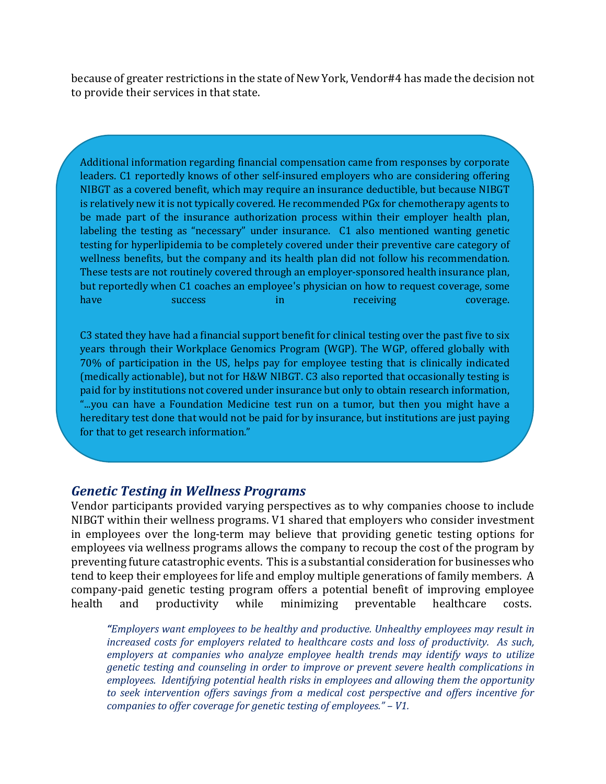because of greater restrictions in the state of New York, Vendor#4 has made the decision not to provide their services in that state.

Additional information regarding financial compensation came from responses by corporate leaders. C1 reportedly knows of other self-insured employers who are considering offering NIBGT as a covered benefit, which may require an insurance deductible, but because NIBGT is relatively new it is not typically covered. He recommended PGx for chemotherapy agents to be made part of the insurance authorization process within their employer health plan, labeling the testing as "necessary" under insurance. C1 also mentioned wanting genetic testing for hyperlipidemia to be completely covered under their preventive care category of wellness benefits, but the company and its health plan did not follow his recommendation. These tests are not routinely covered through an employer-sponsored health insurance plan, but reportedly when C1 coaches an employee's physician on how to request coverage, some<br>have success in receiving coverage. have success in receiving coverage.

C3 stated they have had a financial support benefit for clinical testing over the past five to six years through their Workplace Genomics Program (WGP). The WGP, offered globally with 70% of participation in the US, helps pay for employee testing that is clinically indicated (medically actionable), but not for H&W NIBGT. C3 also reported that occasionally testing is paid for by institutions not covered under insurance but only to obtain research information, "...you can have a Foundation Medicine test run on a tumor, but then you might have a hereditary test done that would not be paid for by insurance, but institutions are just paying for that to get research information."

#### *Genetic Testing in Wellness Programs*

Vendor participants provided varying perspectives as to why companies choose to include NIBGT within their wellness programs. V1 shared that employers who consider investment in employees over the long-term may believe that providing genetic testing options for employees via wellness programs allows the company to recoup the cost of the program by preventing future catastrophic events. This is a substantial consideration for businesses who tend to keep their employees for life and employ multiple generations of family members. A company-paid genetic testing program offers a potential benefit of improving employee<br>health and productivity while minimizing preventable healthcare costs. health and productivity while minimizing preventable healthcare costs.

*"Employers want employees to be healthy and productive. Unhealthy employees may result in increased costs for employers related to healthcare costs and loss of productivity. As such, employers at companies who analyze employee health trends may identify ways to utilize genetic testing and counseling in order to improve or prevent severe health complications in employees. Identifying potential health risks in employees and allowing them the opportunity to seek intervention offers savings from a medical cost perspective and offers incentive for companies to offer coverage for genetic testing of employees." – V1.*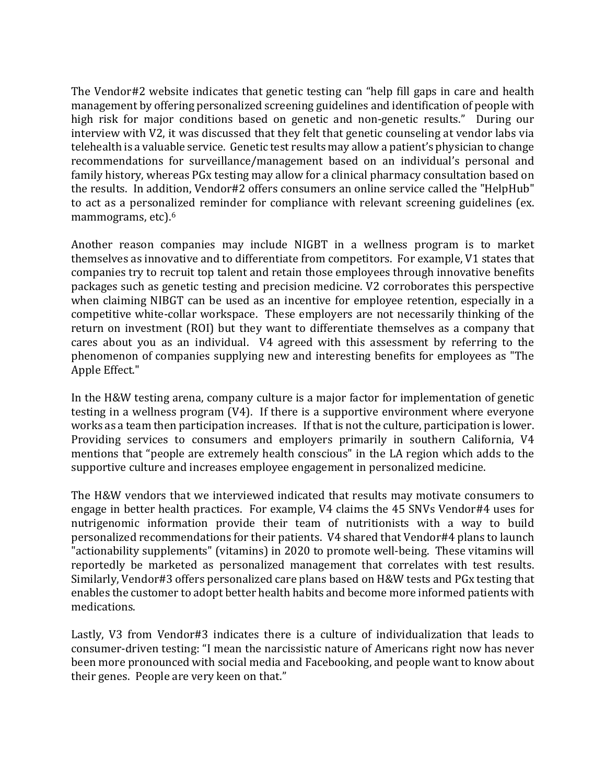The Vendor#2 website indicates that genetic testing can "help fill gaps in care and health management by offering personalized screening guidelines and identification of people with high risk for major conditions based on genetic and non-genetic results." During our interview with V2, it was discussed that they felt that genetic counseling at vendor labs via telehealth is a valuable service. Genetic test results may allow a patient's physician to change recommendations for surveillance/management based on an individual's personal and family history, whereas PGx testing may allow for a clinical pharmacy consultation based on the results. In addition, Vendor#2 offers consumers an online service called the "HelpHub" to act as a personalized reminder for compliance with relevant screening guidelines (ex. mammograms, etc).6

Another reason companies may include NIGBT in a wellness program is to market themselves as innovative and to differentiate from competitors. For example, V1 states that companies try to recruit top talent and retain those employees through innovative benefits packages such as genetic testing and precision medicine. V2 corroborates this perspective when claiming NIBGT can be used as an incentive for employee retention, especially in a competitive white-collar workspace. These employers are not necessarily thinking of the return on investment (ROI) but they want to differentiate themselves as a company that cares about you as an individual. V4 agreed with this assessment by referring to the phenomenon of companies supplying new and interesting benefits for employees as "The Apple Effect."

In the H&W testing arena, company culture is a major factor for implementation of genetic testing in a wellness program (V4). If there is a supportive environment where everyone works as a team then participation increases. If that is not the culture, participation is lower. Providing services to consumers and employers primarily in southern California, V4 mentions that "people are extremely health conscious" in the LA region which adds to the supportive culture and increases employee engagement in personalized medicine.

The H&W vendors that we interviewed indicated that results may motivate consumers to engage in better health practices. For example, V4 claims the 45 SNVs Vendor#4 uses for nutrigenomic information provide their team of nutritionists with a way to build personalized recommendations for their patients. V4 shared that Vendor#4 plans to launch "actionability supplements" (vitamins) in 2020 to promote well-being. These vitamins will reportedly be marketed as personalized management that correlates with test results. Similarly, Vendor#3 offers personalized care plans based on H&W tests and PGx testing that enables the customer to adopt better health habits and become more informed patients with medications.

Lastly, V3 from Vendor#3 indicates there is a culture of individualization that leads to consumer-driven testing: "I mean the narcissistic nature of Americans right now has never been more pronounced with social media and Facebooking, and people want to know about their genes. People are very keen on that."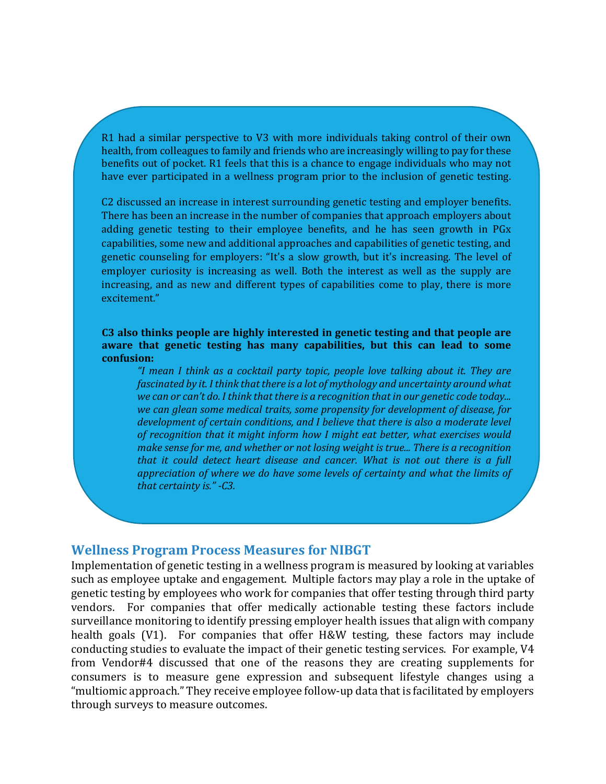R1 had a similar perspective to V3 with more individuals taking control of their own health, from colleagues to family and friends who are increasingly willing to pay for these benefits out of pocket. R1 feels that this is a chance to engage individuals who may not have ever participated in a wellness program prior to the inclusion of genetic testing.

C2 discussed an increase in interest surrounding genetic testing and employer benefits. There has been an increase in the number of companies that approach employers about adding genetic testing to their employee benefits, and he has seen growth in PGx capabilities, some new and additional approaches and capabilities of genetic testing, and genetic counseling for employers: "It's a slow growth, but it's increasing. The level of employer curiosity is increasing as well. Both the interest as well as the supply are increasing, and as new and different types of capabilities come to play, there is more excitement."

**C3 also thinks people are highly interested in genetic testing and that people are aware that genetic testing has many capabilities, but this can lead to some confusion:** 

*"I mean I think as a cocktail party topic, people love talking about it. They are fascinated by it. I think that there is a lot of mythology and uncertainty around what we can or can't do. I think that there is a recognition that in our genetic code today... we can glean some medical traits, some propensity for development of disease, for development of certain conditions, and I believe that there is also a moderate level of recognition that it might inform how I might eat better, what exercises would make sense for me, and whether or not losing weight is true... There is a recognition that it could detect heart disease and cancer. What is not out there is a full appreciation of where we do have some levels of certainty and what the limits of that certainty is." -C3.*

#### **Wellness Program Process Measures for NIBGT**

Implementation of genetic testing in a wellness program is measured by looking at variables such as employee uptake and engagement. Multiple factors may play a role in the uptake of genetic testing by employees who work for companies that offer testing through third party vendors. For companies that offer medically actionable testing these factors include surveillance monitoring to identify pressing employer health issues that align with company health goals (V1). For companies that offer H&W testing, these factors may include conducting studies to evaluate the impact of their genetic testing services. For example, V4 from Vendor#4 discussed that one of the reasons they are creating supplements for consumers is to measure gene expression and subsequent lifestyle changes using a "multiomic approach." They receive employee follow-up data that is facilitated by employers through surveys to measure outcomes.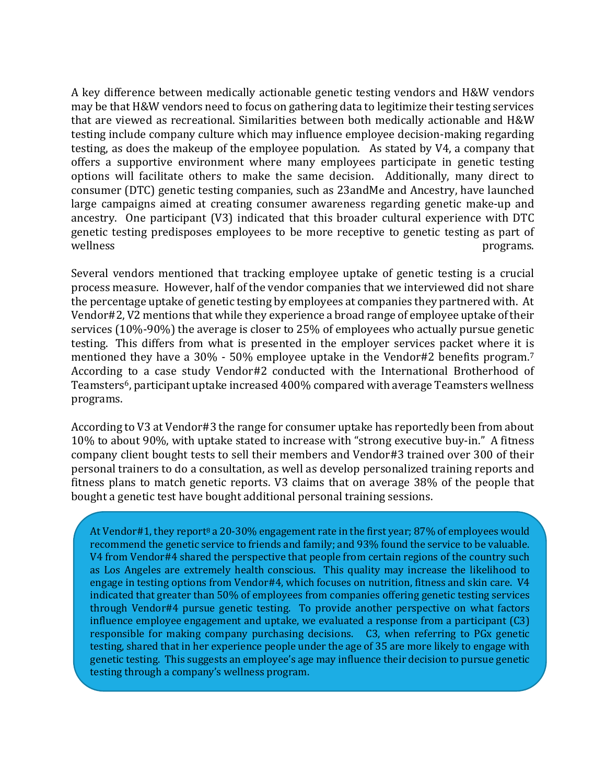A key difference between medically actionable genetic testing vendors and H&W vendors may be that H&W vendors need to focus on gathering data to legitimize their testing services that are viewed as recreational. Similarities between both medically actionable and H&W testing include company culture which may influence employee decision-making regarding testing, as does the makeup of the employee population. As stated by V4, a company that offers a supportive environment where many employees participate in genetic testing options will facilitate others to make the same decision. Additionally, many direct to consumer (DTC) genetic testing companies, such as 23andMe and Ancestry, have launched large campaigns aimed at creating consumer awareness regarding genetic make-up and ancestry. One participant (V3) indicated that this broader cultural experience with DTC genetic testing predisposes employees to be more receptive to genetic testing as part of wellness **programs**.

Several vendors mentioned that tracking employee uptake of genetic testing is a crucial process measure. However, half of the vendor companies that we interviewed did not share the percentage uptake of genetic testing by employees at companies they partnered with. At Vendor#2, V2 mentions that while they experience a broad range of employee uptake of their services (10%-90%) the average is closer to 25% of employees who actually pursue genetic testing. This differs from what is presented in the employer services packet where it is mentioned they have a 30% - 50% employee uptake in the Vendor#2 benefits program.7 According to a case study Vendor#2 conducted with the International Brotherhood of Teamsters<sup>6</sup>, participant uptake increased 400% compared with average Teamsters wellness programs.

According to V3 at Vendor#3 the range for consumer uptake has reportedly been from about 10% to about 90%, with uptake stated to increase with "strong executive buy-in." A fitness company client bought tests to sell their members and Vendor#3 trained over 300 of their personal trainers to do a consultation, as well as develop personalized training reports and fitness plans to match genetic reports. V3 claims that on average 38% of the people that bought a genetic test have bought additional personal training sessions.

At Vendor#1, they report<sup>8</sup> a 20-30% engagement rate in the first year; 87% of employees would recommend the genetic service to friends and family; and 93% found the service to be valuable. V4 from Vendor#4 shared the perspective that people from certain regions of the country such as Los Angeles are extremely health conscious. This quality may increase the likelihood to engage in testing options from Vendor#4, which focuses on nutrition, fitness and skin care. V4 indicated that greater than 50% of employees from companies offering genetic testing services through Vendor#4 pursue genetic testing. To provide another perspective on what factors influence employee engagement and uptake, we evaluated a response from a participant (C3) responsible for making company purchasing decisions. C3, when referring to PGx genetic testing, shared that in her experience people under the age of 35 are more likely to engage with genetic testing. This suggests an employee's age may influence their decision to pursue genetic testing through a company's wellness program.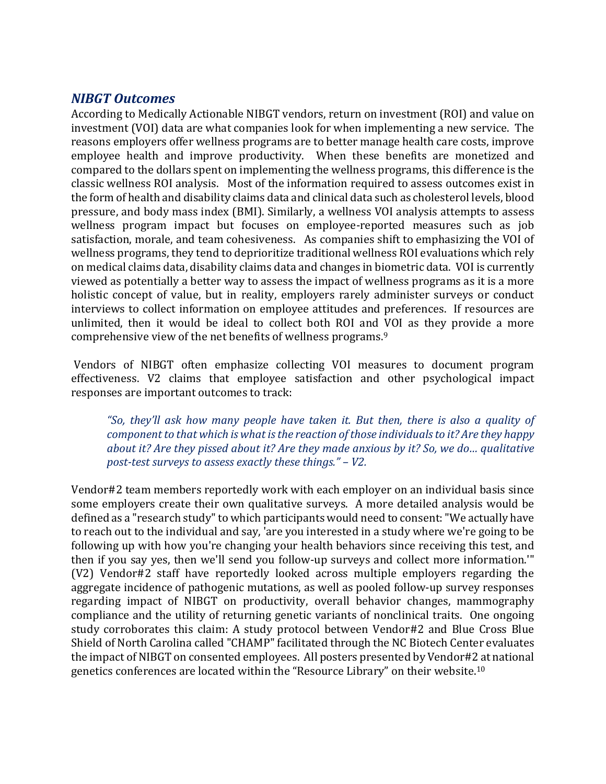### *NIBGT Outcomes*

According to Medically Actionable NIBGT vendors, return on investment (ROI) and value on investment (VOI) data are what companies look for when implementing a new service. The reasons employers offer wellness programs are to better manage health care costs, improve employee health and improve productivity. When these benefits are monetized and compared to the dollars spent on implementing the wellness programs, this difference is the classic wellness ROI analysis. Most of the information required to assess outcomes exist in the form of health and disability claims data and clinical data such as cholesterol levels, blood pressure, and body mass index (BMI). Similarly, a wellness VOI analysis attempts to assess wellness program impact but focuses on employee-reported measures such as job satisfaction, morale, and team cohesiveness. As companies shift to emphasizing the VOI of wellness programs, they tend to deprioritize traditional wellness ROI evaluations which rely on medical claims data, disability claims data and changes in biometric data. VOI is currently viewed as potentially a better way to assess the impact of wellness programs as it is a more holistic concept of value, but in reality, employers rarely administer surveys or conduct interviews to collect information on employee attitudes and preferences. If resources are unlimited, then it would be ideal to collect both ROI and VOI as they provide a more comprehensive view of the net benefits of wellness programs.9

Vendors of NIBGT often emphasize collecting VOI measures to document program effectiveness. V2 claims that employee satisfaction and other psychological impact responses are important outcomes to track:

*"So, they'll ask how many people have taken it. But then, there is also a quality of component to that which is what is the reaction of those individuals to it? Are they happy about it? Are they pissed about it? Are they made anxious by it? So, we do… qualitative post-test surveys to assess exactly these things." – V2.*

Vendor#2 team members reportedly work with each employer on an individual basis since some employers create their own qualitative surveys. A more detailed analysis would be defined as a "research study" to which participants would need to consent: "We actually have to reach out to the individual and say, 'are you interested in a study where we're going to be following up with how you're changing your health behaviors since receiving this test, and then if you say yes, then we'll send you follow-up surveys and collect more information.'" (V2) Vendor#2 staff have reportedly looked across multiple employers regarding the aggregate incidence of pathogenic mutations, as well as pooled follow-up survey responses regarding impact of NIBGT on productivity, overall behavior changes, mammography compliance and the utility of returning genetic variants of nonclinical traits. One ongoing study corroborates this claim: A study protocol between Vendor#2 and Blue Cross Blue Shield of North Carolina called "CHAMP" facilitated through the NC Biotech Center evaluates the impact of NIBGT on consented employees. All posters presented by Vendor#2 at national genetics conferences are located within the "Resource Library" on their website.10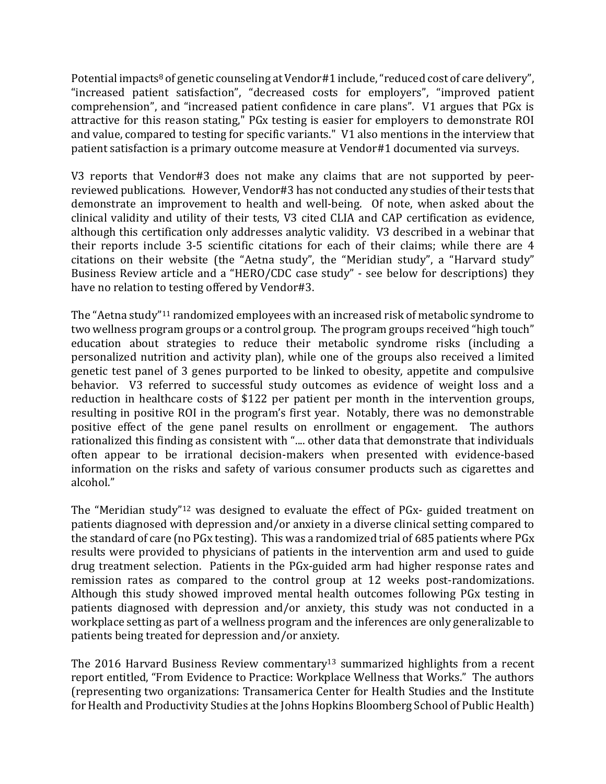Potential impacts<sup>8</sup> of genetic counseling at Vendor#1 include, "reduced cost of care delivery", "increased patient satisfaction", "decreased costs for employers", "improved patient comprehension", and "increased patient confidence in care plans". V1 argues that PGx is attractive for this reason stating," PGx testing is easier for employers to demonstrate ROI and value, compared to testing for specific variants." V1 also mentions in the interview that patient satisfaction is a primary outcome measure at Vendor#1 documented via surveys.

V3 reports that Vendor#3 does not make any claims that are not supported by peerreviewed publications. However, Vendor#3 has not conducted any studies of their tests that demonstrate an improvement to health and well-being. Of note, when asked about the clinical validity and utility of their tests, V3 cited CLIA and CAP certification as evidence, although this certification only addresses analytic validity. V3 described in a webinar that their reports include 3-5 scientific citations for each of their claims; while there are 4 citations on their website (the "Aetna study", the "Meridian study", a "Harvard study" Business Review article and a "HERO/CDC case study" - see below for descriptions) they have no relation to testing offered by Vendor#3.

The "Aetna study"11 randomized employees with an increased risk of metabolic syndrome to two wellness program groups or a control group. The program groups received "high touch" education about strategies to reduce their metabolic syndrome risks (including a personalized nutrition and activity plan), while one of the groups also received a limited genetic test panel of 3 genes purported to be linked to obesity, appetite and compulsive behavior. V3 referred to successful study outcomes as evidence of weight loss and a reduction in healthcare costs of \$122 per patient per month in the intervention groups, resulting in positive ROI in the program's first year. Notably, there was no demonstrable positive effect of the gene panel results on enrollment or engagement. The authors rationalized this finding as consistent with ".... other data that demonstrate that individuals often appear to be irrational decision-makers when presented with evidence-based information on the risks and safety of various consumer products such as cigarettes and alcohol."

The "Meridian study"12 was designed to evaluate the effect of PGx- guided treatment on patients diagnosed with depression and/or anxiety in a diverse clinical setting compared to the standard of care (no PGx testing). This was a randomized trial of 685 patients where PGx results were provided to physicians of patients in the intervention arm and used to guide drug treatment selection. Patients in the PGx-guided arm had higher response rates and remission rates as compared to the control group at 12 weeks post-randomizations. Although this study showed improved mental health outcomes following PGx testing in patients diagnosed with depression and/or anxiety, this study was not conducted in a workplace setting as part of a wellness program and the inferences are only generalizable to patients being treated for depression and/or anxiety.

The 2016 Harvard Business Review commentary<sup>13</sup> summarized highlights from a recent report entitled, "From Evidence to Practice: Workplace Wellness that Works." The authors (representing two organizations: Transamerica Center for Health Studies and the Institute for Health and Productivity Studies at the Johns Hopkins Bloomberg School of Public Health)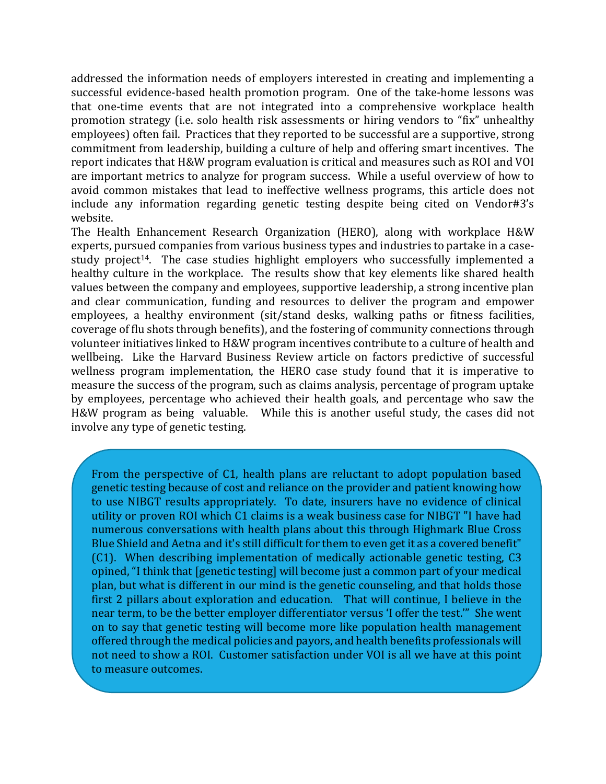addressed the information needs of employers interested in creating and implementing a successful evidence-based health promotion program. One of the take-home lessons was that one-time events that are not integrated into a comprehensive workplace health promotion strategy (i.e. solo health risk assessments or hiring vendors to "fix" unhealthy employees) often fail. Practices that they reported to be successful are a supportive, strong commitment from leadership, building a culture of help and offering smart incentives. The report indicates that H&W program evaluation is critical and measures such as ROI and VOI are important metrics to analyze for program success. While a useful overview of how to avoid common mistakes that lead to ineffective wellness programs, this article does not include any information regarding genetic testing despite being cited on Vendor#3's website.

The Health Enhancement Research Organization (HERO), along with workplace H&W experts, pursued companies from various business types and industries to partake in a casestudy project<sup>14</sup>. The case studies highlight employers who successfully implemented a healthy culture in the workplace. The results show that key elements like shared health values between the company and employees, supportive leadership, a strong incentive plan and clear communication, funding and resources to deliver the program and empower employees, a healthy environment (sit/stand desks, walking paths or fitness facilities, coverage of flu shots through benefits), and the fostering of community connections through volunteer initiatives linked to H&W program incentives contribute to a culture of health and wellbeing. Like the Harvard Business Review article on factors predictive of successful wellness program implementation, the HERO case study found that it is imperative to measure the success of the program, such as claims analysis, percentage of program uptake by employees, percentage who achieved their health goals, and percentage who saw the H&W program as being valuable. While this is another useful study, the cases did not involve any type of genetic testing.

From the perspective of C1, health plans are reluctant to adopt population based genetic testing because of cost and reliance on the provider and patient knowing how to use NIBGT results appropriately. To date, insurers have no evidence of clinical utility or proven ROI which C1 claims is a weak business case for NIBGT "I have had numerous conversations with health plans about this through Highmark Blue Cross Blue Shield and Aetna and it's still difficult for them to even get it as a covered benefit" (C1). When describing implementation of medically actionable genetic testing, C3 opined, "I think that [genetic testing] will become just a common part of your medical plan, but what is different in our mind is the genetic counseling, and that holds those first 2 pillars about exploration and education. That will continue, I believe in the near term, to be the better employer differentiator versus 'I offer the test.'" She went on to say that genetic testing will become more like population health management offered through the medical policies and payors, and health benefits professionals will not need to show a ROI. Customer satisfaction under VOI is all we have at this point to measure outcomes.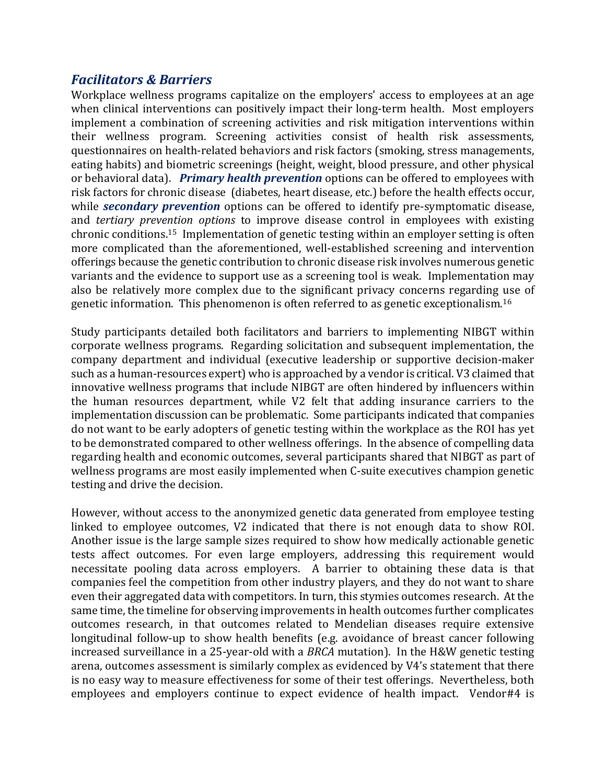## *Facilitators & Barriers*

Workplace wellness programs capitalize on the employers' access to employees at an age when clinical interventions can positively impact their long-term health. Most employers implement a combination of screening activities and risk mitigation interventions within their wellness program. Screening activities consist of health risk assessments, questionnaires on health-related behaviors and risk factors (smoking, stress managements, eating habits) and biometric screenings (height, weight, blood pressure, and other physical or behavioral data). *Primary health prevention* options can be offered to employees with risk factors for chronic disease (diabetes, heart disease, etc.) before the health effects occur, while *secondary prevention* options can be offered to identify pre-symptomatic disease, and *tertiary prevention options* to improve disease control in employees with existing chronic conditions.15 Implementation of genetic testing within an employer setting is often more complicated than the aforementioned, well-established screening and intervention offerings because the genetic contribution to chronic disease risk involves numerous genetic variants and the evidence to support use as a screening tool is weak. Implementation may also be relatively more complex due to the significant privacy concerns regarding use of genetic information. This phenomenon is often referred to as genetic exceptionalism.16

Study participants detailed both facilitators and barriers to implementing NIBGT within corporate wellness programs. Regarding solicitation and subsequent implementation, the company department and individual (executive leadership or supportive decision-maker such as a human-resources expert) who is approached by a vendor is critical. V3 claimed that innovative wellness programs that include NIBGT are often hindered by influencers within the human resources department, while V2 felt that adding insurance carriers to the implementation discussion can be problematic. Some participants indicated that companies do not want to be early adopters of genetic testing within the workplace as the ROI has yet to be demonstrated compared to other wellness offerings. In the absence of compelling data regarding health and economic outcomes, several participants shared that NIBGT as part of wellness programs are most easily implemented when C-suite executives champion genetic testing and drive the decision.

However, without access to the anonymized genetic data generated from employee testing linked to employee outcomes, V2 indicated that there is not enough data to show ROI. Another issue is the large sample sizes required to show how medically actionable genetic tests affect outcomes. For even large employers, addressing this requirement would necessitate pooling data across employers. A barrier to obtaining these data is that companies feel the competition from other industry players, and they do not want to share even their aggregated data with competitors. In turn, this stymies outcomes research. At the same time, the timeline for observing improvements in health outcomes further complicates outcomes research, in that outcomes related to Mendelian diseases require extensive longitudinal follow-up to show health benefits (e.g. avoidance of breast cancer following increased surveillance in a 25-year-old with a *BRCA* mutation). In the H&W genetic testing arena, outcomes assessment is similarly complex as evidenced by V4's statement that there is no easy way to measure effectiveness for some of their test offerings. Nevertheless, both employees and employers continue to expect evidence of health impact. Vendor#4 is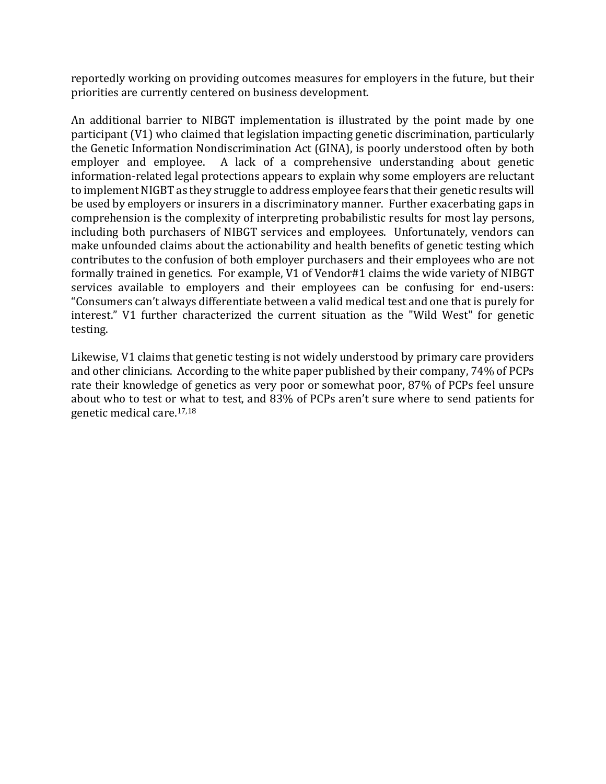reportedly working on providing outcomes measures for employers in the future, but their priorities are currently centered on business development.

An additional barrier to NIBGT implementation is illustrated by the point made by one participant (V1) who claimed that legislation impacting genetic discrimination, particularly the Genetic Information Nondiscrimination Act (GINA), is poorly understood often by both employer and employee. A lack of a comprehensive understanding about genetic information-related legal protections appears to explain why some employers are reluctant to implement NIGBT as they struggle to address employee fears that their genetic results will be used by employers or insurers in a discriminatory manner. Further exacerbating gaps in comprehension is the complexity of interpreting probabilistic results for most lay persons, including both purchasers of NIBGT services and employees. Unfortunately, vendors can make unfounded claims about the actionability and health benefits of genetic testing which contributes to the confusion of both employer purchasers and their employees who are not formally trained in genetics. For example, V1 of Vendor#1 claims the wide variety of NIBGT services available to employers and their employees can be confusing for end-users: "Consumers can't always differentiate between a valid medical test and one that is purely for interest." V1 further characterized the current situation as the "Wild West" for genetic testing.

Likewise, V1 claims that genetic testing is not widely understood by primary care providers and other clinicians. According to the white paper published by their company, 74% of PCPs rate their knowledge of genetics as very poor or somewhat poor, 87% of PCPs feel unsure about who to test or what to test, and 83% of PCPs aren't sure where to send patients for genetic medical care.17,18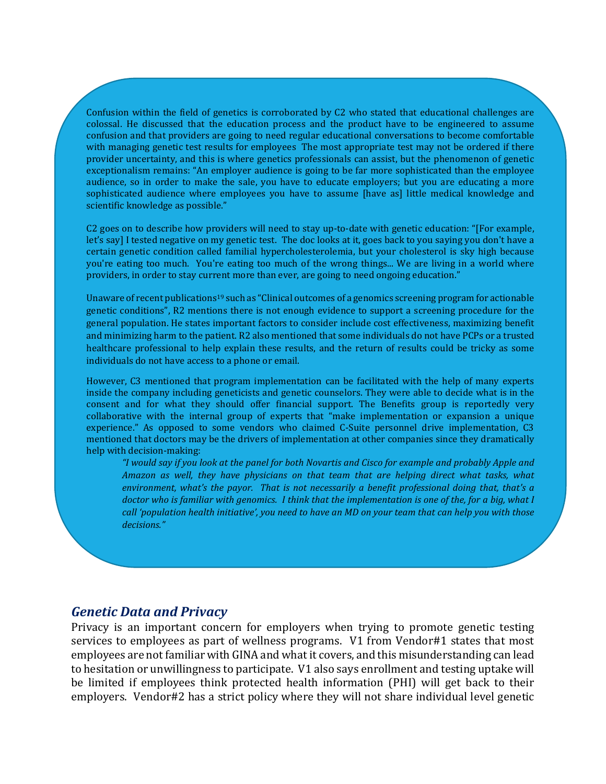Confusion within the field of genetics is corroborated by C2 who stated that educational challenges are colossal. He discussed that the education process and the product have to be engineered to assume confusion and that providers are going to need regular educational conversations to become comfortable with managing genetic test results for employees The most appropriate test may not be ordered if there provider uncertainty, and this is where genetics professionals can assist, but the phenomenon of genetic exceptionalism remains: "An employer audience is going to be far more sophisticated than the employee audience, so in order to make the sale, you have to educate employers; but you are educating a more sophisticated audience where employees you have to assume [have as] little medical knowledge and scientific knowledge as possible."

C2 goes on to describe how providers will need to stay up-to-date with genetic education: "[For example, let's say] I tested negative on my genetic test. The doc looks at it, goes back to you saying you don't have a certain genetic condition called familial hypercholesterolemia, but your cholesterol is sky high because you're eating too much. You're eating too much of the wrong things... We are living in a world where providers, in order to stay current more than ever, are going to need ongoing education."

Unaware of recent publications<sup>19</sup> such as "Clinical outcomes of a genomics screening program for actionable genetic conditions", R2 mentions there is not enough evidence to support a screening procedure for the general population. He states important factors to consider include cost effectiveness, maximizing benefit and minimizing harm to the patient. R2 also mentioned that some individuals do not have PCPs or a trusted healthcare professional to help explain these results, and the return of results could be tricky as some individuals do not have access to a phone or email.

However, C3 mentioned that program implementation can be facilitated with the help of many experts inside the company including geneticists and genetic counselors. They were able to decide what is in the consent and for what they should offer financial support. The Benefits group is reportedly very collaborative with the internal group of experts that "make implementation or expansion a unique experience." As opposed to some vendors who claimed C-Suite personnel drive implementation, C3 mentioned that doctors may be the drivers of implementation at other companies since they dramatically help with decision-making:

*"I would say if you look at the panel for both Novartis and Cisco for example and probably Apple and Amazon as well, they have physicians on that team that are helping direct what tasks, what environment, what's the payor. That is not necessarily a benefit professional doing that, that's a doctor who is familiar with genomics. I think that the implementation is one of the, for a big, what I call 'population health initiative', you need to have an MD on your team that can help you with those decisions."*

#### *Genetic Data and Privacy*

Privacy is an important concern for employers when trying to promote genetic testing services to employees as part of wellness programs. V1 from Vendor#1 states that most employees are not familiar with GINA and what it covers, and this misunderstanding can lead to hesitation or unwillingness to participate. V1 also says enrollment and testing uptake will be limited if employees think protected health information (PHI) will get back to their employers. Vendor#2 has a strict policy where they will not share individual level genetic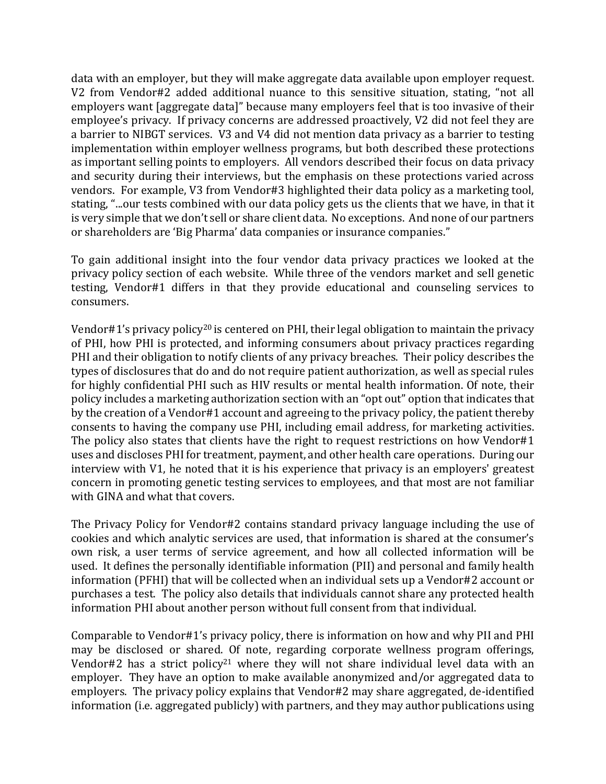data with an employer, but they will make aggregate data available upon employer request. V2 from Vendor#2 added additional nuance to this sensitive situation, stating, "not all employers want [aggregate data]" because many employers feel that is too invasive of their employee's privacy. If privacy concerns are addressed proactively, V2 did not feel they are a barrier to NIBGT services. V3 and V4 did not mention data privacy as a barrier to testing implementation within employer wellness programs, but both described these protections as important selling points to employers. All vendors described their focus on data privacy and security during their interviews, but the emphasis on these protections varied across vendors. For example, V3 from Vendor#3 highlighted their data policy as a marketing tool, stating, "...our tests combined with our data policy gets us the clients that we have, in that it is very simple that we don't sell or share client data. No exceptions. And none of our partners or shareholders are 'Big Pharma' data companies or insurance companies."

To gain additional insight into the four vendor data privacy practices we looked at the privacy policy section of each website. While three of the vendors market and sell genetic testing, Vendor#1 differs in that they provide educational and counseling services to consumers.

Vendor#1's privacy policy<sup>20</sup> is centered on PHI, their legal obligation to maintain the privacy of PHI, how PHI is protected, and informing consumers about privacy practices regarding PHI and their obligation to notify clients of any privacy breaches. Their policy describes the types of disclosures that do and do not require patient authorization, as well as special rules for highly confidential PHI such as HIV results or mental health information. Of note, their policy includes a marketing authorization section with an "opt out" option that indicates that by the creation of a Vendor#1 account and agreeing to the privacy policy, the patient thereby consents to having the company use PHI, including email address, for marketing activities. The policy also states that clients have the right to request restrictions on how Vendor#1 uses and discloses PHI for treatment, payment, and other health care operations. During our interview with V1, he noted that it is his experience that privacy is an employers' greatest concern in promoting genetic testing services to employees, and that most are not familiar with GINA and what that covers.

The Privacy Policy for Vendor#2 contains standard privacy language including the use of cookies and which analytic services are used, that information is shared at the consumer's own risk, a user terms of service agreement, and how all collected information will be used. It defines the personally identifiable information (PII) and personal and family health information (PFHI) that will be collected when an individual sets up a Vendor#2 account or purchases a test. The policy also details that individuals cannot share any protected health information PHI about another person without full consent from that individual.

Comparable to Vendor#1's privacy policy, there is information on how and why PII and PHI may be disclosed or shared. Of note, regarding corporate wellness program offerings, Vendor#2 has a strict policy<sup>21</sup> where they will not share individual level data with an employer. They have an option to make available anonymized and/or aggregated data to employers. The privacy policy explains that Vendor#2 may share aggregated, de-identified information (i.e. aggregated publicly) with partners, and they may author publications using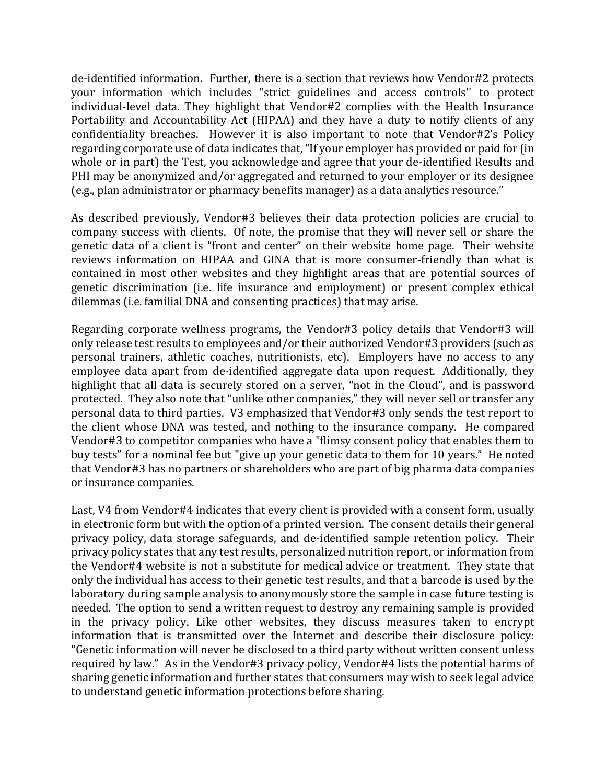de-identified information. Further, there is a section that reviews how Vendor#2 protects your information which includes "strict guidelines and access controls'' to protect individual-level data. They highlight that Vendor#2 complies with the Health Insurance Portability and Accountability Act (HIPAA) and they have a duty to notify clients of any confidentiality breaches. However it is also important to note that Vendor#2's Policy regarding corporate use of data indicates that, "If your employer has provided or paid for (in whole or in part) the Test, you acknowledge and agree that your de-identified Results and PHI may be anonymized and/or aggregated and returned to your employer or its designee (e.g., plan administrator or pharmacy benefits manager) as a data analytics resource."

As described previously, Vendor#3 believes their data protection policies are crucial to company success with clients. Of note, the promise that they will never sell or share the genetic data of a client is "front and center" on their website home page. Their website reviews information on HIPAA and GINA that is more consumer-friendly than what is contained in most other websites and they highlight areas that are potential sources of genetic discrimination (i.e. life insurance and employment) or present complex ethical dilemmas (i.e. familial DNA and consenting practices) that may arise.

Regarding corporate wellness programs, the Vendor#3 policy details that Vendor#3 will only release test results to employees and/or their authorized Vendor#3 providers (such as personal trainers, athletic coaches, nutritionists, etc). Employers have no access to any employee data apart from de-identified aggregate data upon request. Additionally, they highlight that all data is securely stored on a server, "not in the Cloud", and is password protected. They also note that "unlike other companies," they will never sell or transfer any personal data to third parties. V3 emphasized that Vendor#3 only sends the test report to the client whose DNA was tested, and nothing to the insurance company. He compared Vendor#3 to competitor companies who have a "flimsy consent policy that enables them to buy tests" for a nominal fee but "give up your genetic data to them for 10 years." He noted that Vendor#3 has no partners or shareholders who are part of big pharma data companies or insurance companies.

Last, V4 from Vendor#4 indicates that every client is provided with a consent form, usually in electronic form but with the option of a printed version. The consent details their general privacy policy, data storage safeguards, and de-identified sample retention policy. Their privacy policy states that any test results, personalized nutrition report, or information from the Vendor#4 website is not a substitute for medical advice or treatment. They state that only the individual has access to their genetic test results, and that a barcode is used by the laboratory during sample analysis to anonymously store the sample in case future testing is needed. The option to send a written request to destroy any remaining sample is provided in the privacy policy. Like other websites, they discuss measures taken to encrypt information that is transmitted over the Internet and describe their disclosure policy: "Genetic information will never be disclosed to a third party without written consent unless required by law." As in the Vendor#3 privacy policy, Vendor#4 lists the potential harms of sharing genetic information and further states that consumers may wish to seek legal advice to understand genetic information protections before sharing.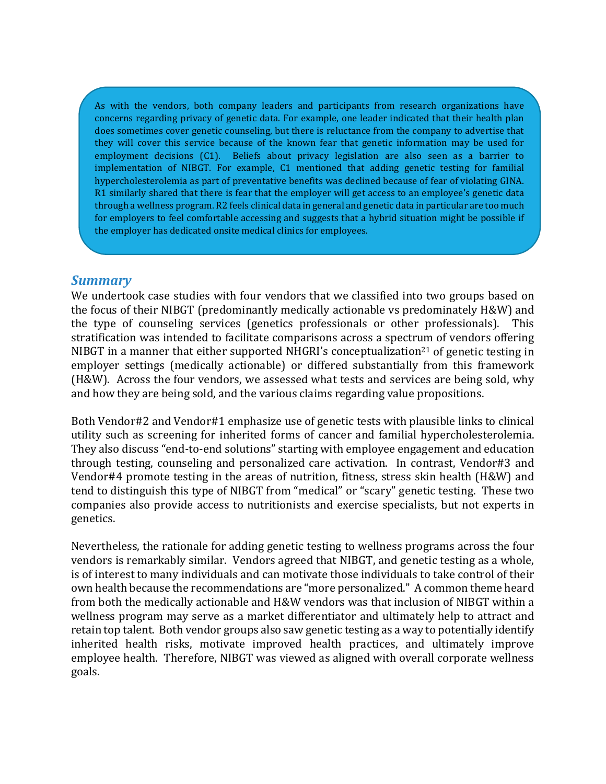As with the vendors, both company leaders and participants from research organizations have concerns regarding privacy of genetic data. For example, one leader indicated that their health plan does sometimes cover genetic counseling, but there is reluctance from the company to advertise that they will cover this service because of the known fear that genetic information may be used for employment decisions (C1). Beliefs about privacy legislation are also seen as a barrier to implementation of NIBGT. For example, C1 mentioned that adding genetic testing for familial hypercholesterolemia as part of preventative benefits was declined because of fear of violating GINA. R1 similarly shared that there is fear that the employer will get access to an employee's genetic data through a wellness program. R2 feels clinical data in general and genetic data in particular are too much for employers to feel comfortable accessing and suggests that a hybrid situation might be possible if the employer has dedicated onsite medical clinics for employees.

#### *Summary*

We undertook case studies with four vendors that we classified into two groups based on the focus of their NIBGT (predominantly medically actionable vs predominately H&W) and the type of counseling services (genetics professionals or other professionals). This stratification was intended to facilitate comparisons across a spectrum of vendors offering NIBGT in a manner that either supported NHGRI's conceptualization<sup>21</sup> of genetic testing in employer settings (medically actionable) or differed substantially from this framework (H&W). Across the four vendors, we assessed what tests and services are being sold, why and how they are being sold, and the various claims regarding value propositions.

Both Vendor#2 and Vendor#1 emphasize use of genetic tests with plausible links to clinical utility such as screening for inherited forms of cancer and familial hypercholesterolemia. They also discuss "end-to-end solutions" starting with employee engagement and education through testing, counseling and personalized care activation. In contrast, Vendor#3 and Vendor#4 promote testing in the areas of nutrition, fitness, stress skin health (H&W) and tend to distinguish this type of NIBGT from "medical" or "scary" genetic testing. These two companies also provide access to nutritionists and exercise specialists, but not experts in genetics.

Nevertheless, the rationale for adding genetic testing to wellness programs across the four vendors is remarkably similar. Vendors agreed that NIBGT, and genetic testing as a whole, is of interest to many individuals and can motivate those individuals to take control of their own health because the recommendations are "more personalized." A common theme heard from both the medically actionable and H&W vendors was that inclusion of NIBGT within a wellness program may serve as a market differentiator and ultimately help to attract and retain top talent. Both vendor groups also saw genetic testing as a way to potentially identify inherited health risks, motivate improved health practices, and ultimately improve employee health. Therefore, NIBGT was viewed as aligned with overall corporate wellness goals.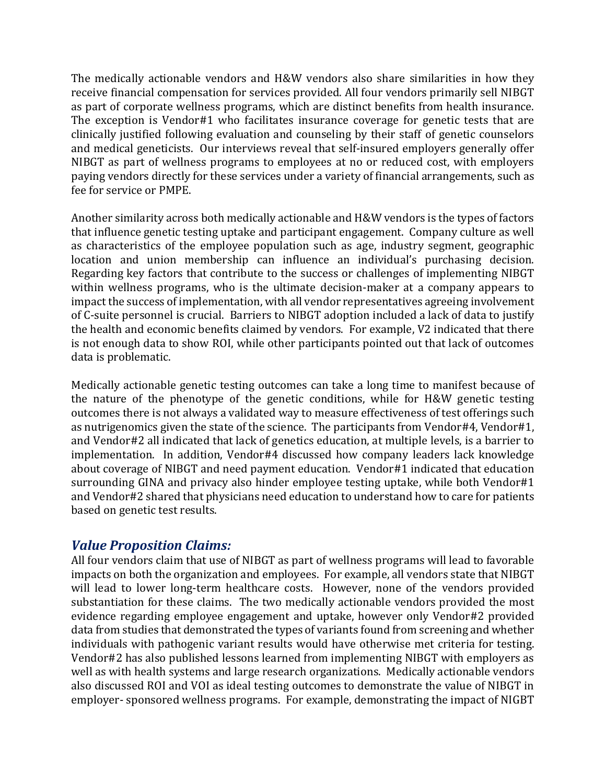The medically actionable vendors and H&W vendors also share similarities in how they receive financial compensation for services provided. All four vendors primarily sell NIBGT as part of corporate wellness programs, which are distinct benefits from health insurance. The exception is Vendor#1 who facilitates insurance coverage for genetic tests that are clinically justified following evaluation and counseling by their staff of genetic counselors and medical geneticists. Our interviews reveal that self-insured employers generally offer NIBGT as part of wellness programs to employees at no or reduced cost, with employers paying vendors directly for these services under a variety of financial arrangements, such as fee for service or PMPE.

Another similarity across both medically actionable and H&W vendors is the types of factors that influence genetic testing uptake and participant engagement. Company culture as well as characteristics of the employee population such as age, industry segment, geographic location and union membership can influence an individual's purchasing decision. Regarding key factors that contribute to the success or challenges of implementing NIBGT within wellness programs, who is the ultimate decision-maker at a company appears to impact the success of implementation, with all vendor representatives agreeing involvement of C-suite personnel is crucial. Barriers to NIBGT adoption included a lack of data to justify the health and economic benefits claimed by vendors. For example, V2 indicated that there is not enough data to show ROI, while other participants pointed out that lack of outcomes data is problematic.

Medically actionable genetic testing outcomes can take a long time to manifest because of the nature of the phenotype of the genetic conditions, while for H&W genetic testing outcomes there is not always a validated way to measure effectiveness of test offerings such as nutrigenomics given the state of the science. The participants from Vendor#4, Vendor#1, and Vendor#2 all indicated that lack of genetics education, at multiple levels, is a barrier to implementation. In addition, Vendor#4 discussed how company leaders lack knowledge about coverage of NIBGT and need payment education. Vendor#1 indicated that education surrounding GINA and privacy also hinder employee testing uptake, while both Vendor#1 and Vendor#2 shared that physicians need education to understand how to care for patients based on genetic test results.

#### *Value Proposition Claims:*

All four vendors claim that use of NIBGT as part of wellness programs will lead to favorable impacts on both the organization and employees. For example, all vendors state that NIBGT will lead to lower long-term healthcare costs. However, none of the vendors provided substantiation for these claims. The two medically actionable vendors provided the most evidence regarding employee engagement and uptake, however only Vendor#2 provided data from studies that demonstrated the types of variants found from screening and whether individuals with pathogenic variant results would have otherwise met criteria for testing. Vendor#2 has also published lessons learned from implementing NIBGT with employers as well as with health systems and large research organizations. Medically actionable vendors also discussed ROI and VOI as ideal testing outcomes to demonstrate the value of NIBGT in employer- sponsored wellness programs. For example, demonstrating the impact of NIGBT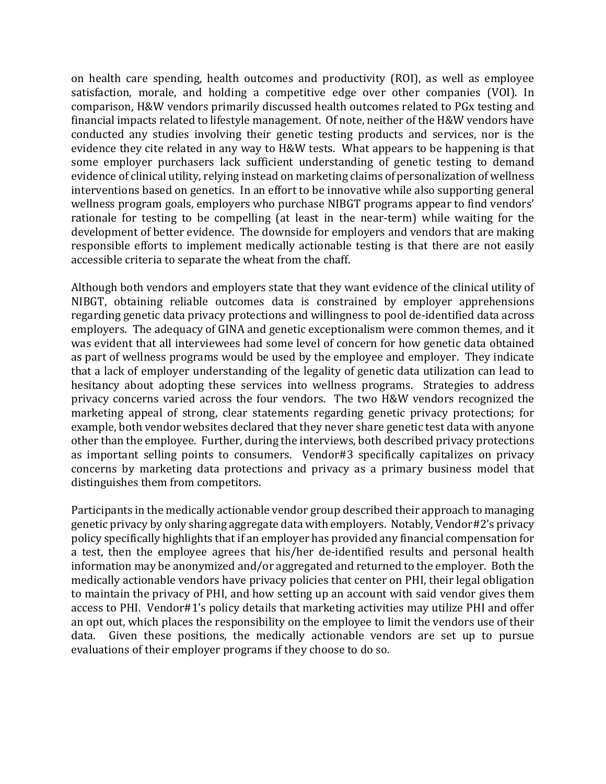on health care spending, health outcomes and productivity (ROI), as well as employee satisfaction, morale, and holding a competitive edge over other companies (VOI). In comparison, H&W vendors primarily discussed health outcomes related to PGx testing and financial impacts related to lifestyle management. Of note, neither of the H&W vendors have conducted any studies involving their genetic testing products and services, nor is the evidence they cite related in any way to H&W tests. What appears to be happening is that some employer purchasers lack sufficient understanding of genetic testing to demand evidence of clinical utility, relying instead on marketing claims of personalization of wellness interventions based on genetics. In an effort to be innovative while also supporting general wellness program goals, employers who purchase NIBGT programs appear to find vendors' rationale for testing to be compelling (at least in the near-term) while waiting for the development of better evidence. The downside for employers and vendors that are making responsible efforts to implement medically actionable testing is that there are not easily accessible criteria to separate the wheat from the chaff.

Although both vendors and employers state that they want evidence of the clinical utility of NIBGT, obtaining reliable outcomes data is constrained by employer apprehensions regarding genetic data privacy protections and willingness to pool de-identified data across employers. The adequacy of GINA and genetic exceptionalism were common themes, and it was evident that all interviewees had some level of concern for how genetic data obtained as part of wellness programs would be used by the employee and employer. They indicate that a lack of employer understanding of the legality of genetic data utilization can lead to hesitancy about adopting these services into wellness programs. Strategies to address privacy concerns varied across the four vendors. The two H&W vendors recognized the marketing appeal of strong, clear statements regarding genetic privacy protections; for example, both vendor websites declared that they never share genetic test data with anyone other than the employee. Further, during the interviews, both described privacy protections as important selling points to consumers. Vendor#3 specifically capitalizes on privacy concerns by marketing data protections and privacy as a primary business model that distinguishes them from competitors.

Participants in the medically actionable vendor group described their approach to managing genetic privacy by only sharing aggregate data with employers. Notably, Vendor#2's privacy policy specifically highlights that if an employer has provided any financial compensation for a test, then the employee agrees that his/her de-identified results and personal health information may be anonymized and/or aggregated and returned to the employer. Both the medically actionable vendors have privacy policies that center on PHI, their legal obligation to maintain the privacy of PHI, and how setting up an account with said vendor gives them access to PHI. Vendor#1's policy details that marketing activities may utilize PHI and offer an opt out, which places the responsibility on the employee to limit the vendors use of their data. Given these positions, the medically actionable vendors are set up to pursue evaluations of their employer programs if they choose to do so.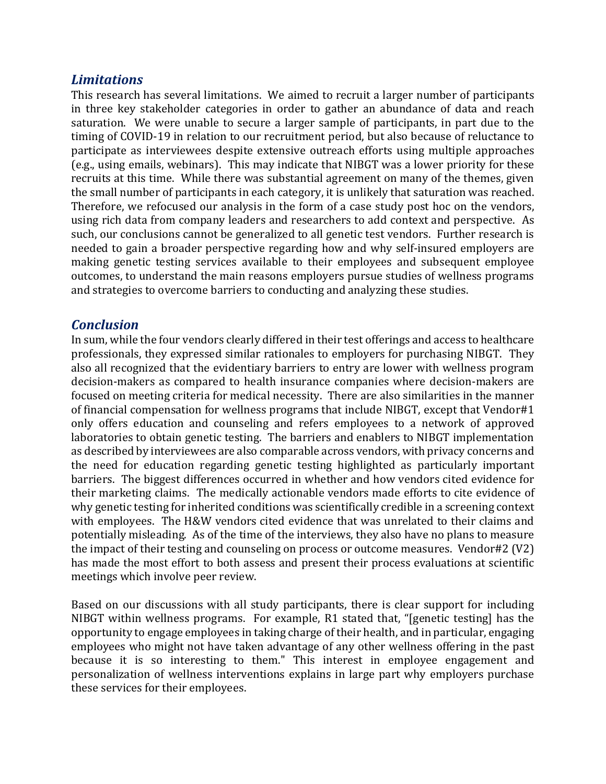## *Limitations*

This research has several limitations. We aimed to recruit a larger number of participants in three key stakeholder categories in order to gather an abundance of data and reach saturation. We were unable to secure a larger sample of participants, in part due to the timing of COVID-19 in relation to our recruitment period, but also because of reluctance to participate as interviewees despite extensive outreach efforts using multiple approaches (e.g., using emails, webinars). This may indicate that NIBGT was a lower priority for these recruits at this time. While there was substantial agreement on many of the themes, given the small number of participants in each category, it is unlikely that saturation was reached. Therefore, we refocused our analysis in the form of a case study post hoc on the vendors, using rich data from company leaders and researchers to add context and perspective. As such, our conclusions cannot be generalized to all genetic test vendors. Further research is needed to gain a broader perspective regarding how and why self-insured employers are making genetic testing services available to their employees and subsequent employee outcomes, to understand the main reasons employers pursue studies of wellness programs and strategies to overcome barriers to conducting and analyzing these studies.

## *Conclusion*

In sum, while the four vendors clearly differed in their test offerings and access to healthcare professionals, they expressed similar rationales to employers for purchasing NIBGT. They also all recognized that the evidentiary barriers to entry are lower with wellness program decision-makers as compared to health insurance companies where decision-makers are focused on meeting criteria for medical necessity. There are also similarities in the manner of financial compensation for wellness programs that include NIBGT, except that Vendor#1 only offers education and counseling and refers employees to a network of approved laboratories to obtain genetic testing. The barriers and enablers to NIBGT implementation as described by interviewees are also comparable across vendors, with privacy concerns and the need for education regarding genetic testing highlighted as particularly important barriers. The biggest differences occurred in whether and how vendors cited evidence for their marketing claims. The medically actionable vendors made efforts to cite evidence of why genetic testing for inherited conditions was scientifically credible in a screening context with employees. The H&W vendors cited evidence that was unrelated to their claims and potentially misleading. As of the time of the interviews, they also have no plans to measure the impact of their testing and counseling on process or outcome measures. Vendor#2 (V2) has made the most effort to both assess and present their process evaluations at scientific meetings which involve peer review.

Based on our discussions with all study participants, there is clear support for including NIBGT within wellness programs. For example, R1 stated that, "[genetic testing] has the opportunity to engage employees in taking charge of their health, and in particular, engaging employees who might not have taken advantage of any other wellness offering in the past because it is so interesting to them." This interest in employee engagement and personalization of wellness interventions explains in large part why employers purchase these services for their employees.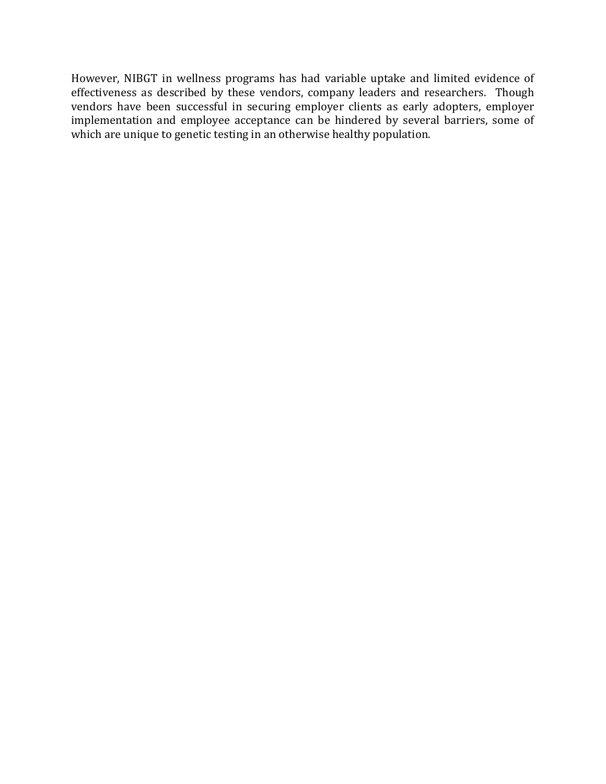However, NIBGT in wellness programs has had variable uptake and limited evidence of effectiveness as described by these vendors, company leaders and researchers. Though vendors have been successful in securing employer clients as early adopters, employer implementation and employee acceptance can be hindered by several barriers, some of which are unique to genetic testing in an otherwise healthy population.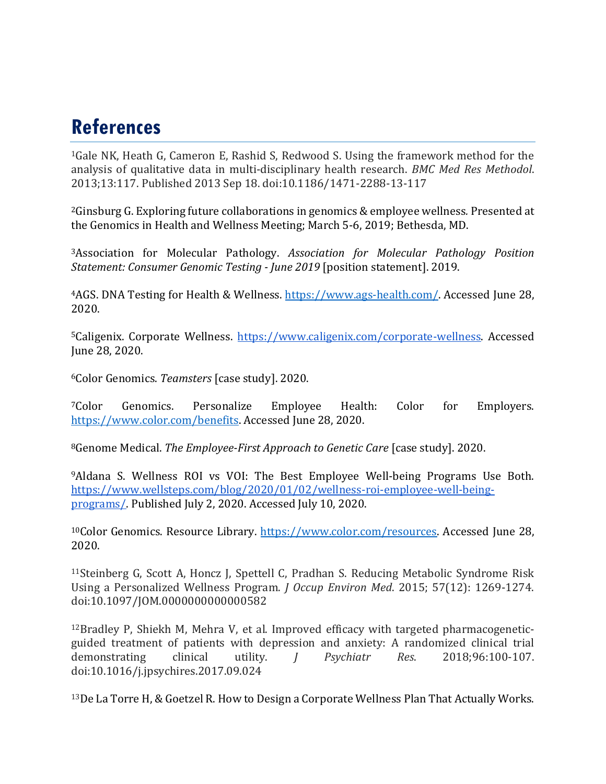# **References**

1Gale NK, Heath G, Cameron E, Rashid S, Redwood S. Using the framework method for the analysis of qualitative data in multi-disciplinary health research. *BMC Med Res Methodol*. 2013;13:117. Published 2013 Sep 18. doi:10.1186/1471-2288-13-117

2Ginsburg G. Exploring future collaborations in genomics & employee wellness*.* Presented at the Genomics in Health and Wellness Meeting; March 5-6, 2019; Bethesda, MD.

3Association for Molecular Pathology. *Association for Molecular Pathology Position Statement: Consumer Genomic Testing - June 2019* [position statement]. 2019.

4AGS. DNA Testing for Health & Wellness. [https://www.ags-health.com/.](https://www.ags-health.com/) Accessed June 28, 2020.

5Caligenix. Corporate Wellness. [https://www.caligenix.com/corporate-wellness.](https://www.caligenix.com/corporate-wellness) Accessed June 28, 2020.

6Color Genomics. *Teamsters* [case study]. 2020.

7Color Genomics. Personalize Employee Health: Color for Employers. [https://www.color.com/benefits.](https://www.color.com/benefits) Accessed June 28, 2020.

8Genome Medical. *The Employee-First Approach to Genetic Care* [case study]. 2020.

9Aldana S. Wellness ROI vs VOI: The Best Employee Well-being Programs Use Both. [https://www.wellsteps.com/blog/2020/01/02/wellness-roi-employee-well-being](https://www.wellsteps.com/blog/2020/01/02/wellness-roi-employee-well-being-programs/)[programs/.](https://www.wellsteps.com/blog/2020/01/02/wellness-roi-employee-well-being-programs/) Published July 2, 2020. Accessed July 10, 2020.

<sup>10</sup>Color Genomics. Resource Library. [https://www.color.com/resources.](https://www.color.com/resources) Accessed June 28, 2020.

11Steinberg G, Scott A, Honcz J, Spettell C, Pradhan S. Reducing Metabolic Syndrome Risk Using a Personalized Wellness Program. *J Occup Environ Med*. 2015; 57(12): 1269-1274. doi:10.1097/JOM.0000000000000582

 $12$ Bradley P, Shiekh M, Mehra V, et al. Improved efficacy with targeted pharmacogeneticguided treatment of patients with depression and anxiety: A randomized clinical trial<br>demonstrating clinical utility. *I Psychiatr Res.* 2018;96:100-107. demonstrating clinical utility. *J Psychiatr Res*. 2018;96:100-107. doi:10.1016/j.jpsychires.2017.09.024

13De La Torre H, & Goetzel R. How to Design a Corporate Wellness Plan That Actually Works.